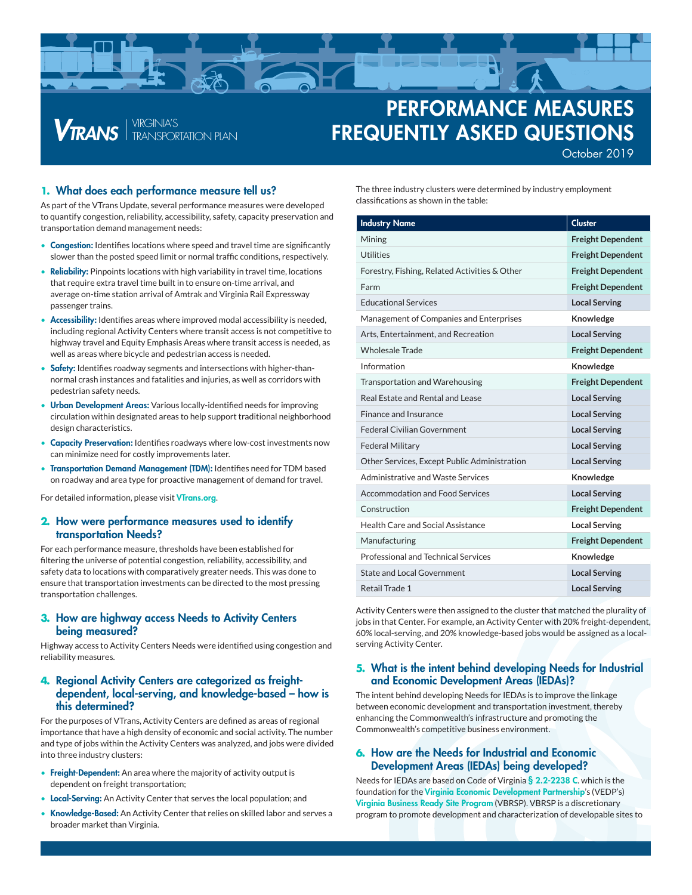

# PERFORMANCE MEASURES FREQUENTLY ASKED QUESTIONS October 2019

#### **1.** What does each performance measure tell us?

*VTRANS* FRANSPORTATION PLAN

As part of the VTrans Update, several performance measures were developed to quantify congestion, reliability, accessibility, safety, capacity preservation and transportation demand management needs:

- Congestion: Identifies locations where speed and travel time are significantly slower than the posted speed limit or normal traffic conditions, respectively.
- **Reliability:** Pinpoints locations with high variability in travel time, locations that require extra travel time built in to ensure on-time arrival, and average on-time station arrival of Amtrak and Virginia Rail Expressway passenger trains.
- Accessibility: Identifies areas where improved modal accessibility is needed, including regional Activity Centers where transit access is not competitive to highway travel and Equity Emphasis Areas where transit access is needed, as well as areas where bicycle and pedestrian access is needed.
- Safety: Identifies roadway segments and intersections with higher-thannormal crash instances and fatalities and injuries, as well as corridors with pedestrian safety needs.
- Urban Development Areas: Various locally-identified needs for improving circulation within designated areas to help support traditional neighborhood design characteristics.
- Capacity Preservation: Identifies roadways where low-cost investments now can minimize need for costly improvements later.
- Transportation Demand Management (TDM): Identifies need for TDM based on roadway and area type for proactive management of demand for travel.

For detailed information, please visit [VTrans.org](http://www.vtrans.org/).

## **2.** How were performance measures used to identify transportation Needs?

For each performance measure, thresholds have been established for filtering the universe of potential congestion, reliability, accessibility, and safety data to locations with comparatively greater needs. This was done to ensure that transportation investments can be directed to the most pressing transportation challenges.

#### **3.** How are highway access Needs to Activity Centers being measured?

Highway access to Activity Centers Needs were identified using congestion and reliability measures.

#### **4.** Regional Activity Centers are categorized as freightdependent, local-serving, and knowledge-based – how is this determined?

For the purposes of VTrans, Activity Centers are defined as areas of regional importance that have a high density of economic and social activity. The number and type of jobs within the Activity Centers was analyzed, and jobs were divided into three industry clusters:

- Freight-Dependent: An area where the majority of activity output is dependent on freight transportation;
- **Local-Serving:** An Activity Center that serves the local population; and
- Knowledge-Based: An Activity Center that relies on skilled labor and serves a broader market than Virginia.

The three industry clusters were determined by industry employment classifications as shown in the table:

| <b>Industry Name</b>                          | <b>Cluster</b>           |
|-----------------------------------------------|--------------------------|
| Mining                                        | <b>Freight Dependent</b> |
| <b>Utilities</b>                              | <b>Freight Dependent</b> |
| Forestry, Fishing, Related Activities & Other | <b>Freight Dependent</b> |
| Farm                                          | <b>Freight Dependent</b> |
| <b>Educational Services</b>                   | <b>Local Serving</b>     |
| Management of Companies and Enterprises       | Knowledge                |
| Arts, Entertainment, and Recreation           | <b>Local Serving</b>     |
| <b>Wholesale Trade</b>                        | <b>Freight Dependent</b> |
| Information                                   | Knowledge                |
| Transportation and Warehousing                | <b>Freight Dependent</b> |
| Real Estate and Rental and Lease              | <b>Local Serving</b>     |
| Finance and Insurance                         | <b>Local Serving</b>     |
| <b>Federal Civilian Government</b>            | <b>Local Serving</b>     |
| <b>Federal Military</b>                       | <b>Local Serving</b>     |
| Other Services, Except Public Administration  | <b>Local Serving</b>     |
| Administrative and Waste Services             | Knowledge                |
| Accommodation and Food Services               | <b>Local Serving</b>     |
| Construction                                  | <b>Freight Dependent</b> |
| Health Care and Social Assistance             | <b>Local Serving</b>     |
| Manufacturing                                 | <b>Freight Dependent</b> |
| Professional and Technical Services           | Knowledge                |
| <b>State and Local Government</b>             | <b>Local Serving</b>     |
| Retail Trade 1                                | <b>Local Serving</b>     |

Activity Centers were then assigned to the cluster that matched the plurality of jobs in that Center. For example, an Activity Center with 20% freight-dependent, 60% local-serving, and 20% knowledge-based jobs would be assigned as a localserving Activity Center.

#### **5.** What is the intent behind developing Needs for Industrial and Economic Development Areas (IEDAs)?

The intent behind developing Needs for IEDAs is to improve the linkage between economic development and transportation investment, thereby enhancing the Commonwealth's infrastructure and promoting the Commonwealth's competitive business environment.

## **6.** How are the Needs for Industrial and Economic Development Areas (IEDAs) being developed?

Needs for IEDAs are based on Code of Virginia [§ 2.2-2238 C](https://law.lis.virginia.gov/vacode/title2.2/partD/section2.2-2238/). which is the foundation for the [Virginia Economic Development Partnership](https://www.vedp.org/)'s (VEDP's) [Virginia Business Ready Site Program](https://www.vedp.org/vbrsp) (VBRSP). VBRSP is a discretionary program to promote development and characterization of developable sites to